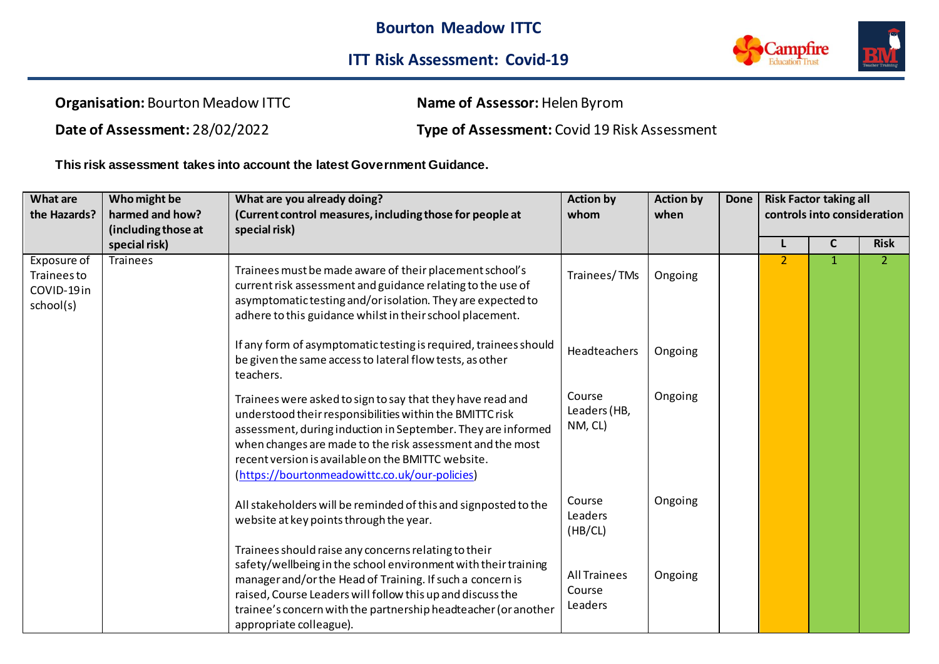

**Organisation:** Bourton Meadow ITTC **Name of Assessor:** Helen Byrom

**Date of Assessment:** 28/02/2022 **Type of Assessment:** Covid 19 Risk Assessment

**This risk assessment takes into account the latest Government Guidance.**

| What are<br>the Hazards?                                     | Who might be<br>harmed and how?      | What are you already doing?<br>(Current control measures, including those for people at                                                                                                                                                                                                                                                                     | <b>Action by</b><br>whom                 | <b>Action by</b><br>when | <b>Done</b> | <b>Risk Factor taking all</b><br>controls into consideration |              |                |
|--------------------------------------------------------------|--------------------------------------|-------------------------------------------------------------------------------------------------------------------------------------------------------------------------------------------------------------------------------------------------------------------------------------------------------------------------------------------------------------|------------------------------------------|--------------------------|-------------|--------------------------------------------------------------|--------------|----------------|
|                                                              | (including those at<br>special risk) | special risk)                                                                                                                                                                                                                                                                                                                                               |                                          |                          |             |                                                              | $\mathsf{C}$ | <b>Risk</b>    |
| Exposure of<br><b>Trainees to</b><br>COVID-19in<br>school(s) | <b>Trainees</b>                      | Trainees must be made aware of their placement school's<br>current risk assessment and guidance relating to the use of<br>asymptomatic testing and/or isolation. They are expected to<br>adhere to this guidance whilst in their school placement.                                                                                                          | Trainees/TMs                             | Ongoing                  |             | $\overline{2}$                                               | $\mathbf{1}$ | $\overline{2}$ |
|                                                              |                                      | If any form of asymptomatic testing is required, trainees should<br>be given the same access to lateral flow tests, as other<br>teachers.                                                                                                                                                                                                                   | Headteachers                             | Ongoing                  |             |                                                              |              |                |
|                                                              |                                      | Trainees were asked to sign to say that they have read and<br>understood their responsibilities within the BMITTC risk<br>assessment, during induction in September. They are informed<br>when changes are made to the risk assessment and the most<br>recent version is available on the BMITTC website.<br>(https://bourtonmeadowittc.co.uk/our-policies) | Course<br>Leaders (HB,<br>NM, CL)        | Ongoing                  |             |                                                              |              |                |
|                                                              |                                      | All stakeholders will be reminded of this and signposted to the<br>website at key points through the year.                                                                                                                                                                                                                                                  | Course<br>Leaders<br>(HB/CL)             | Ongoing                  |             |                                                              |              |                |
|                                                              |                                      | Trainees should raise any concerns relating to their<br>safety/wellbeing in the school environment with their training<br>manager and/or the Head of Training. If such a concern is<br>raised, Course Leaders will follow this up and discuss the<br>trainee's concern with the partnership headteacher (or another<br>appropriate colleague).              | <b>All Trainees</b><br>Course<br>Leaders | Ongoing                  |             |                                                              |              |                |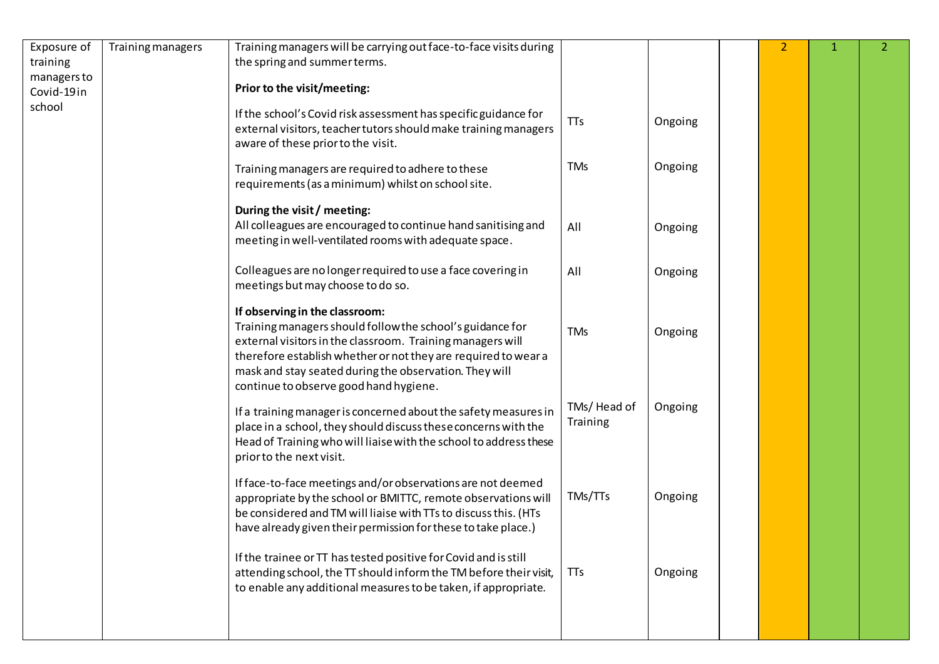| Exposure of             | Training managers | Training managers will be carrying out face-to-face visits during                                                                                                                                                                                                                                                               |                         |         | $\overline{2}$ | 1. | 2 <sup>1</sup> |
|-------------------------|-------------------|---------------------------------------------------------------------------------------------------------------------------------------------------------------------------------------------------------------------------------------------------------------------------------------------------------------------------------|-------------------------|---------|----------------|----|----------------|
| training<br>managers to |                   | the spring and summer terms.                                                                                                                                                                                                                                                                                                    |                         |         |                |    |                |
| Covid-19in              |                   | Prior to the visit/meeting:                                                                                                                                                                                                                                                                                                     |                         |         |                |    |                |
| school                  |                   | If the school's Covid risk assessment has specific guidance for<br>external visitors, teacher tutors should make training managers<br>aware of these prior to the visit.                                                                                                                                                        | TTs                     | Ongoing |                |    |                |
|                         |                   | Training managers are required to adhere to these<br>requirements (as a minimum) whilst on school site.                                                                                                                                                                                                                         | <b>TMs</b>              | Ongoing |                |    |                |
|                         |                   | During the visit / meeting:<br>All colleagues are encouraged to continue hand sanitising and<br>meeting in well-ventilated rooms with adequate space.                                                                                                                                                                           | All                     | Ongoing |                |    |                |
|                         |                   | Colleagues are no longer required to use a face covering in<br>meetings but may choose to do so.                                                                                                                                                                                                                                | All                     | Ongoing |                |    |                |
|                         |                   | If observing in the classroom:<br>Training managers should follow the school's guidance for<br>external visitors in the classroom. Training managers will<br>therefore establish whether or not they are required to wear a<br>mask and stay seated during the observation. They will<br>continue to observe good hand hygiene. | <b>TMs</b>              | Ongoing |                |    |                |
|                         |                   | If a training manager is concerned about the safety measures in<br>place in a school, they should discuss these concerns with the<br>Head of Training who will liaise with the school to address these<br>prior to the next visit.                                                                                              | TMs/Head of<br>Training | Ongoing |                |    |                |
|                         |                   | If face-to-face meetings and/or observations are not deemed<br>appropriate by the school or BMITTC, remote observations will<br>be considered and TM will liaise with TTs to discuss this. (HTs<br>have already given their permission for these to take place.)                                                                | TMs/TTs                 | Ongoing |                |    |                |
|                         |                   | If the trainee or TT has tested positive for Covid and is still<br>attending school, the TT should inform the TM before their visit,<br>to enable any additional measures to be taken, if appropriate.                                                                                                                          | <b>TTs</b>              | Ongoing |                |    |                |
|                         |                   |                                                                                                                                                                                                                                                                                                                                 |                         |         |                |    |                |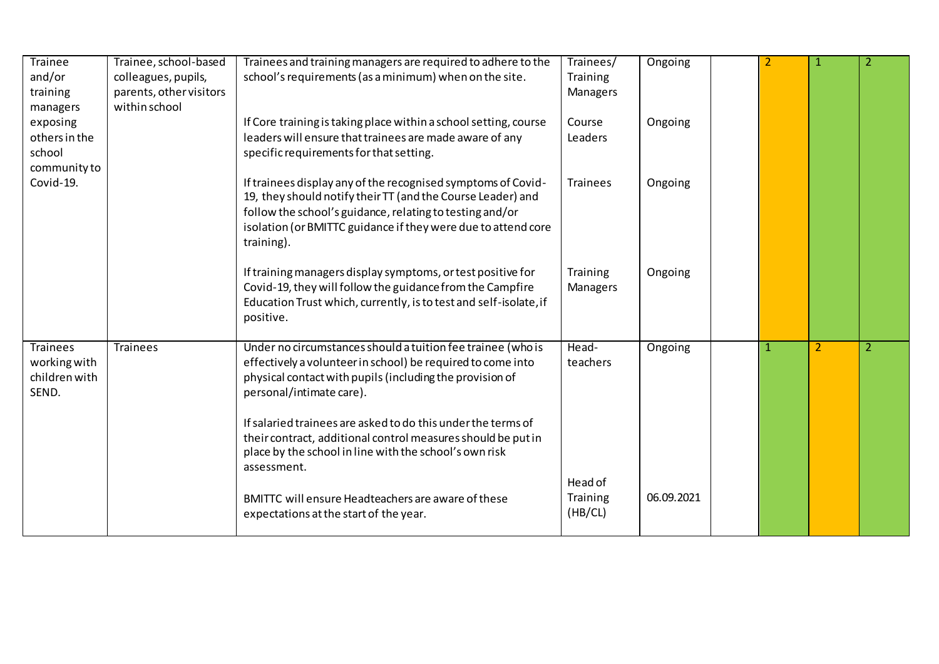| Trainee                | Trainee, school-based   | Trainees and training managers are required to adhere to the                                                                                                                                                                                                           | Trainees/       | Ongoing    |  | 1              | 2              |
|------------------------|-------------------------|------------------------------------------------------------------------------------------------------------------------------------------------------------------------------------------------------------------------------------------------------------------------|-----------------|------------|--|----------------|----------------|
| and/or                 | colleagues, pupils,     | school's requirements (as a minimum) when on the site.                                                                                                                                                                                                                 | Training        |            |  |                |                |
| training               | parents, other visitors |                                                                                                                                                                                                                                                                        | Managers        |            |  |                |                |
| managers               | within school           |                                                                                                                                                                                                                                                                        |                 |            |  |                |                |
| exposing               |                         | If Core training is taking place within a school setting, course                                                                                                                                                                                                       | Course          | Ongoing    |  |                |                |
| others in the          |                         | leaders will ensure that trainees are made aware of any                                                                                                                                                                                                                | Leaders         |            |  |                |                |
| school                 |                         | specific requirements for that setting.                                                                                                                                                                                                                                |                 |            |  |                |                |
| community to           |                         |                                                                                                                                                                                                                                                                        |                 |            |  |                |                |
| Covid-19.              |                         | If trainees display any of the recognised symptoms of Covid-<br>19, they should notify their TT (and the Course Leader) and<br>follow the school's guidance, relating to testing and/or<br>isolation (or BMITTC guidance if they were due to attend core<br>training). | <b>Trainees</b> | Ongoing    |  |                |                |
|                        |                         | If training managers display symptoms, or test positive for                                                                                                                                                                                                            | Training        | Ongoing    |  |                |                |
|                        |                         | Covid-19, they will follow the guidance from the Campfire<br>Education Trust which, currently, is to test and self-isolate, if<br>positive.                                                                                                                            | Managers        |            |  |                |                |
| <b>Trainees</b>        | <b>Trainees</b>         | Under no circumstances should a tuition fee trainee (who is                                                                                                                                                                                                            | Head-           | Ongoing    |  | $\overline{2}$ | $\overline{2}$ |
| working with           |                         | effectively a volunteer in school) be required to come into                                                                                                                                                                                                            | teachers        |            |  |                |                |
| children with<br>SEND. |                         | physical contact with pupils (including the provision of<br>personal/intimate care).                                                                                                                                                                                   |                 |            |  |                |                |
|                        |                         | If salaried trainees are asked to do this under the terms of                                                                                                                                                                                                           |                 |            |  |                |                |
|                        |                         | their contract, additional control measures should be put in                                                                                                                                                                                                           |                 |            |  |                |                |
|                        |                         | place by the school in line with the school's own risk                                                                                                                                                                                                                 |                 |            |  |                |                |
|                        |                         | assessment.                                                                                                                                                                                                                                                            |                 |            |  |                |                |
|                        |                         |                                                                                                                                                                                                                                                                        | Head of         |            |  |                |                |
|                        |                         | BMITTC will ensure Headteachers are aware of these                                                                                                                                                                                                                     | Training        | 06.09.2021 |  |                |                |
|                        |                         | expectations at the start of the year.                                                                                                                                                                                                                                 | (HB/CL)         |            |  |                |                |
|                        |                         |                                                                                                                                                                                                                                                                        |                 |            |  |                |                |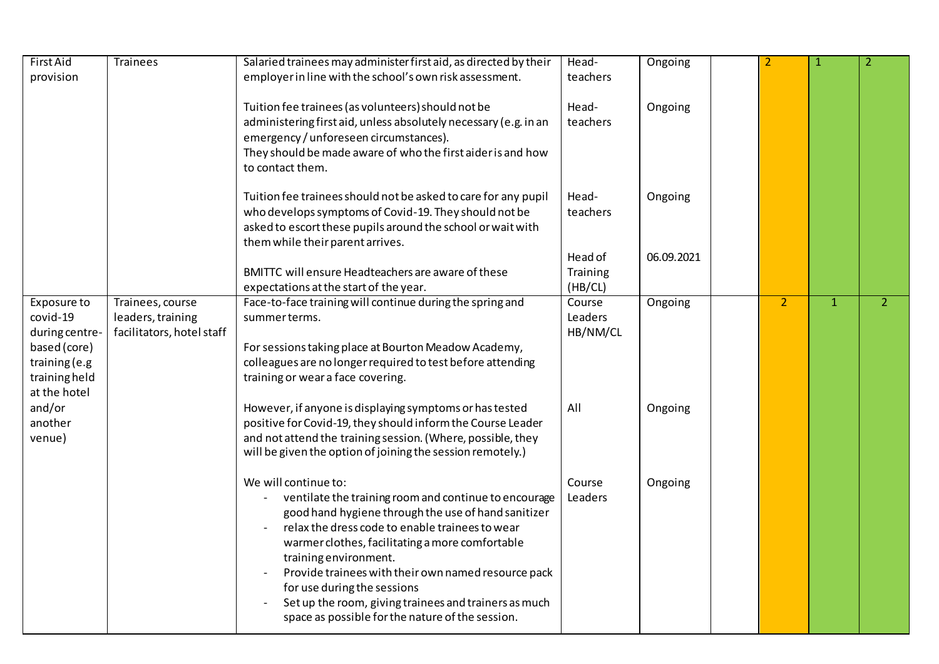| First Aid                                                                                                   | <b>Trainees</b>                                                    | Salaried trainees may administer first aid, as directed by their                                                                                                                                                                                                                                                                                                                                                                                                       | Head-                          | Ongoing    |                | $\mathbf{1}$ | $\overline{2}$           |
|-------------------------------------------------------------------------------------------------------------|--------------------------------------------------------------------|------------------------------------------------------------------------------------------------------------------------------------------------------------------------------------------------------------------------------------------------------------------------------------------------------------------------------------------------------------------------------------------------------------------------------------------------------------------------|--------------------------------|------------|----------------|--------------|--------------------------|
| provision                                                                                                   |                                                                    | employer in line with the school's own risk assessment.                                                                                                                                                                                                                                                                                                                                                                                                                | teachers                       |            |                |              |                          |
|                                                                                                             |                                                                    | Tuition fee trainees (as volunteers) should not be<br>administering first aid, unless absolutely necessary (e.g. in an<br>emergency / unforeseen circumstances).<br>They should be made aware of who the first aider is and how<br>to contact them.                                                                                                                                                                                                                    | Head-<br>teachers              | Ongoing    |                |              |                          |
|                                                                                                             |                                                                    | Tuition fee trainees should not be asked to care for any pupil<br>who develops symptoms of Covid-19. They should not be<br>asked to escort these pupils around the school or wait with<br>them while their parent arrives.                                                                                                                                                                                                                                             | Head-<br>teachers              | Ongoing    |                |              |                          |
|                                                                                                             |                                                                    | BMITTC will ensure Headteachers are aware of these<br>expectations at the start of the year.                                                                                                                                                                                                                                                                                                                                                                           | Head of<br>Training<br>(HB/CL) | 06.09.2021 |                |              |                          |
| Exposure to<br>covid-19<br>during centre-<br>based (core)<br>training (e.g<br>training held<br>at the hotel | Trainees, course<br>leaders, training<br>facilitators, hotel staff | Face-to-face training will continue during the spring and<br>summerterms.<br>For sessions taking place at Bourton Meadow Academy,<br>colleagues are no longer required to test before attending<br>training or wear a face covering.                                                                                                                                                                                                                                   | Course<br>Leaders<br>HB/NM/CL  | Ongoing    | $\overline{2}$ | $\mathbf{1}$ | $\overline{\phantom{a}}$ |
| and/or<br>another<br>venue)                                                                                 |                                                                    | However, if anyone is displaying symptoms or has tested<br>positive for Covid-19, they should inform the Course Leader<br>and not attend the training session. (Where, possible, they<br>will be given the option of joining the session remotely.)                                                                                                                                                                                                                    | All                            | Ongoing    |                |              |                          |
|                                                                                                             |                                                                    | We will continue to:<br>ventilate the training room and continue to encourage<br>good hand hygiene through the use of hand sanitizer<br>relax the dress code to enable trainees to wear<br>warmer clothes, facilitating a more comfortable<br>training environment.<br>Provide trainees with their own named resource pack<br>for use during the sessions<br>Set up the room, giving trainees and trainers as much<br>space as possible for the nature of the session. | Course<br>Leaders              | Ongoing    |                |              |                          |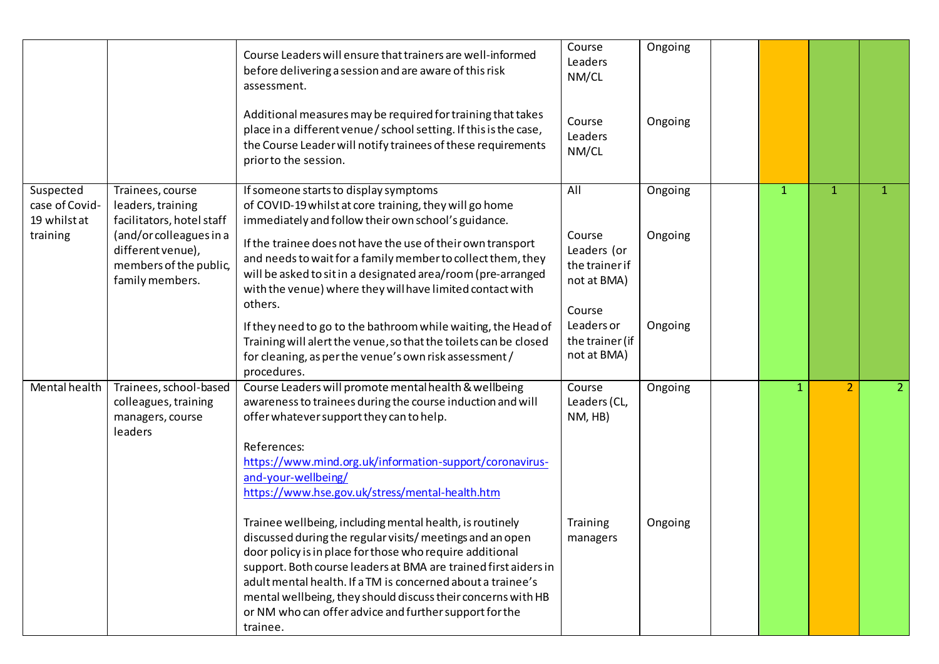|                                                         |                                                                                                                                                                 | Course Leaders will ensure that trainers are well-informed<br>before delivering a session and are aware of this risk<br>assessment.<br>Additional measures may be required for training that takes<br>place in a different venue / school setting. If this is the case,<br>the Course Leader will notify trainees of these requirements<br>prior to the session.                                                                                                                                                                                                                                                                                                                                                                                                                 | Course<br>Leaders<br>NM/CL<br>Course<br>Leaders<br>NM/CL                                                                | Ongoing<br>Ongoing            |              |                |                |
|---------------------------------------------------------|-----------------------------------------------------------------------------------------------------------------------------------------------------------------|----------------------------------------------------------------------------------------------------------------------------------------------------------------------------------------------------------------------------------------------------------------------------------------------------------------------------------------------------------------------------------------------------------------------------------------------------------------------------------------------------------------------------------------------------------------------------------------------------------------------------------------------------------------------------------------------------------------------------------------------------------------------------------|-------------------------------------------------------------------------------------------------------------------------|-------------------------------|--------------|----------------|----------------|
| Suspected<br>case of Covid-<br>19 whilst at<br>training | Trainees, course<br>leaders, training<br>facilitators, hotel staff<br>(and/or colleagues in a<br>different venue),<br>members of the public,<br>family members. | If someone starts to display symptoms<br>of COVID-19 whilst at core training, they will go home<br>immediately and follow their own school's guidance.<br>If the trainee does not have the use of their own transport<br>and needs to wait for a family member to collect them, they<br>will be asked to sit in a designated area/room (pre-arranged<br>with the venue) where they will have limited contact with<br>others.<br>If they need to go to the bathroom while waiting, the Head of<br>Training will alert the venue, so that the toilets can be closed<br>for cleaning, as per the venue's own risk assessment/<br>procedures.                                                                                                                                        | All<br>Course<br>Leaders (or<br>the trainer if<br>not at BMA)<br>Course<br>Leaders or<br>the trainer (if<br>not at BMA) | Ongoing<br>Ongoing<br>Ongoing | $\mathbf{1}$ | $\mathbf{1}$   | $\mathbf{1}$   |
| Mental health                                           | Trainees, school-based<br>colleagues, training<br>managers, course<br>leaders                                                                                   | Course Leaders will promote mental health & wellbeing<br>awareness to trainees during the course induction and will<br>offer whatever support they can to help.<br>References:<br>https://www.mind.org.uk/information-support/coronavirus-<br>and-your-wellbeing/<br>https://www.hse.gov.uk/stress/mental-health.htm<br>Trainee wellbeing, including mental health, is routinely<br>discussed during the regular visits/meetings and an open<br>door policy is in place for those who require additional<br>support. Both course leaders at BMA are trained first aiders in<br>adult mental health. If a TM is concerned about a trainee's<br>mental wellbeing, they should discuss their concerns with HB<br>or NM who can offer advice and further support for the<br>trainee. | Course<br>Leaders (CL,<br>NM, HB)<br>Training<br>managers                                                               | Ongoing<br>Ongoing            | 1            | $\overline{2}$ | $\overline{2}$ |